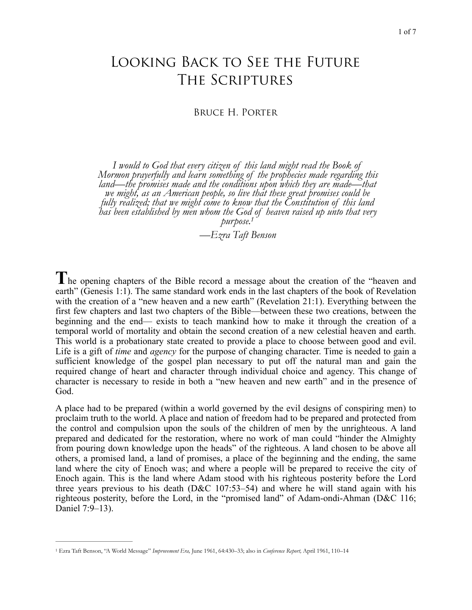# Looking Back to See the Future The Scriptures

Bruce H. Porter

*I would to God that every citizen of this land might read the Book of Mormon prayerfully and learn something of the prophecies made regarding this land—the promises made and the conditions upon which they are made—that we might, as an American people, so live that these great promises could be fully realized; that we might come to know that the Constitution of this land has been established by men whom the God of heaven raised up unto that very purpose[.1](#page-0-0)*

<span id="page-0-1"></span>*—Ezra Taft Benson* 

**T**he opening chapters of the Bible record a message about the creation of the "heaven and earth" (Genesis 1:1). The same standard work ends in the last chapters of the book of Revelation with the creation of a "new heaven and a new earth" (Revelation 21:1). Everything between the first few chapters and last two chapters of the Bible—between these two creations, between the beginning and the end— exists to teach mankind how to make it through the creation of a temporal world of mortality and obtain the second creation of a new celestial heaven and earth. This world is a probationary state created to provide a place to choose between good and evil. Life is a gift of *time* and *agency* for the purpose of changing character. Time is needed to gain a sufficient knowledge of the gospel plan necessary to put off the natural man and gain the required change of heart and character through individual choice and agency. This change of character is necessary to reside in both a "new heaven and new earth" and in the presence of God.

A place had to be prepared (within a world governed by the evil designs of conspiring men) to proclaim truth to the world. A place and nation of freedom had to be prepared and protected from the control and compulsion upon the souls of the children of men by the unrighteous. A land prepared and dedicated for the restoration, where no work of man could "hinder the Almighty from pouring down knowledge upon the heads" of the righteous. A land chosen to be above all others, a promised land, a land of promises, a place of the beginning and the ending, the same land where the city of Enoch was; and where a people will be prepared to receive the city of Enoch again. This is the land where Adam stood with his righteous posterity before the Lord three years previous to his death ( $D&C$  107:53–54) and where he will stand again with his righteous posterity, before the Lord, in the "promised land" of Adam-ondi-Ahman (D&C 116; Daniel 7:9–13).

<span id="page-0-0"></span>Ezra Taft Benson, "A World Message" *Improvement Era,* June 1961, 64:430–33; also in *Conference Report,* April 1961, 110–14 [1](#page-0-1)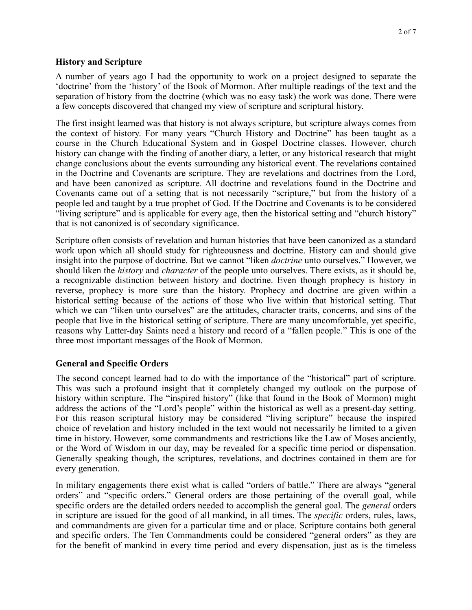#### **History and Scripture**

A number of years ago I had the opportunity to work on a project designed to separate the 'doctrine' from the 'history' of the Book of Mormon. After multiple readings of the text and the separation of history from the doctrine (which was no easy task) the work was done. There were a few concepts discovered that changed my view of scripture and scriptural history.

The first insight learned was that history is not always scripture, but scripture always comes from the context of history. For many years "Church History and Doctrine" has been taught as a course in the Church Educational System and in Gospel Doctrine classes. However, church history can change with the finding of another diary, a letter, or any historical research that might change conclusions about the events surrounding any historical event. The revelations contained in the Doctrine and Covenants are scripture. They are revelations and doctrines from the Lord, and have been canonized as scripture. All doctrine and revelations found in the Doctrine and Covenants came out of a setting that is not necessarily "scripture," but from the history of a people led and taught by a true prophet of God. If the Doctrine and Covenants is to be considered "living scripture" and is applicable for every age, then the historical setting and "church history" that is not canonized is of secondary significance.

Scripture often consists of revelation and human histories that have been canonized as a standard work upon which all should study for righteousness and doctrine. History can and should give insight into the purpose of doctrine. But we cannot "liken *doctrine* unto ourselves." However, we should liken the *history* and *character* of the people unto ourselves. There exists, as it should be, a recognizable distinction between history and doctrine. Even though prophecy is history in reverse, prophecy is more sure than the history. Prophecy and doctrine are given within a historical setting because of the actions of those who live within that historical setting. That which we can "liken unto ourselves" are the attitudes, character traits, concerns, and sins of the people that live in the historical setting of scripture. There are many uncomfortable, yet specific, reasons why Latter-day Saints need a history and record of a "fallen people." This is one of the three most important messages of the Book of Mormon.

# **General and Specific Orders**

The second concept learned had to do with the importance of the "historical" part of scripture. This was such a profound insight that it completely changed my outlook on the purpose of history within scripture. The "inspired history" (like that found in the Book of Mormon) might address the actions of the "Lord's people" within the historical as well as a present-day setting. For this reason scriptural history may be considered "living scripture" because the inspired choice of revelation and history included in the text would not necessarily be limited to a given time in history. However, some commandments and restrictions like the Law of Moses anciently, or the Word of Wisdom in our day, may be revealed for a specific time period or dispensation. Generally speaking though, the scriptures, revelations, and doctrines contained in them are for every generation.

In military engagements there exist what is called "orders of battle." There are always "general orders" and "specific orders." General orders are those pertaining of the overall goal, while specific orders are the detailed orders needed to accomplish the general goal. The *general* orders in scripture are issued for the good of all mankind, in all times. The *specific* orders, rules, laws, and commandments are given for a particular time and or place. Scripture contains both general and specific orders. The Ten Commandments could be considered "general orders" as they are for the benefit of mankind in every time period and every dispensation, just as is the timeless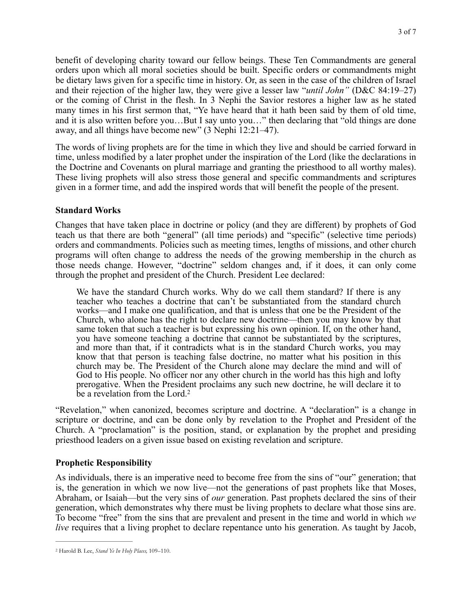benefit of developing charity toward our fellow beings. These Ten Commandments are general orders upon which all moral societies should be built. Specific orders or commandments might be dietary laws given for a specific time in history. Or, as seen in the case of the children of Israel and their rejection of the higher law, they were give a lesser law "*until John"* (D&C 84:19–27) or the coming of Christ in the flesh. In 3 Nephi the Savior restores a higher law as he stated many times in his first sermon that, "Ye have heard that it hath been said by them of old time, and it is also written before you…But I say unto you…" then declaring that "old things are done away, and all things have become new" (3 Nephi 12:21–47).

The words of living prophets are for the time in which they live and should be carried forward in time, unless modified by a later prophet under the inspiration of the Lord (like the declarations in the Doctrine and Covenants on plural marriage and granting the priesthood to all worthy males). These living prophets will also stress those general and specific commandments and scriptures given in a former time, and add the inspired words that will benefit the people of the present.

### **Standard Works**

Changes that have taken place in doctrine or policy (and they are different) by prophets of God teach us that there are both "general" (all time periods) and "specific" (selective time periods) orders and commandments. Policies such as meeting times, lengths of missions, and other church programs will often change to address the needs of the growing membership in the church as those needs change. However, "doctrine" seldom changes and, if it does, it can only come through the prophet and president of the Church. President Lee declared:

We have the standard Church works. Why do we call them standard? If there is any teacher who teaches a doctrine that can't be substantiated from the standard church works—and I make one qualification, and that is unless that one be the President of the Church, who alone has the right to declare new doctrine—then you may know by that same token that such a teacher is but expressing his own opinion. If, on the other hand, you have someone teaching a doctrine that cannot be substantiated by the scriptures, and more than that, if it contradicts what is in the standard Church works, you may know that that person is teaching false doctrine, no matter what his position in this church may be. The President of the Church alone may declare the mind and will of God to His people. No officer nor any other church in the world has this high and lofty prerogative. When the President proclaims any such new doctrine, he will declare it to be a revelation from the Lord.<sup>2</sup>

<span id="page-2-1"></span>"Revelation," when canonized, becomes scripture and doctrine. A "declaration" is a change in scripture or doctrine, and can be done only by revelation to the Prophet and President of the Church. A "proclamation" is the position, stand, or explanation by the prophet and presiding priesthood leaders on a given issue based on existing revelation and scripture.

# **Prophetic Responsibility**

As individuals, there is an imperative need to become free from the sins of "our" generation; that is, the generation in which we now live—not the generations of past prophets like that Moses, Abraham, or Isaiah—but the very sins of *our* generation. Past prophets declared the sins of their generation, which demonstrates why there must be living prophets to declare what those sins are. To become "free" from the sins that are prevalent and present in the time and world in which *we live* requires that a living prophet to declare repentance unto his generation. As taught by Jacob,

<span id="page-2-0"></span>Harold B. Lee, *Stand Ye In Holy Places,* 109–110. [2](#page-2-1)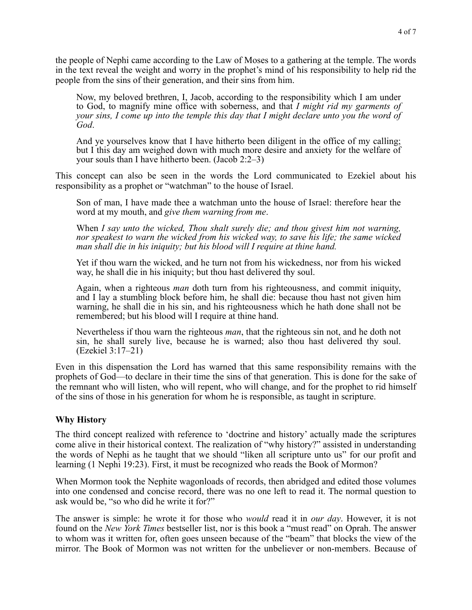the people of Nephi came according to the Law of Moses to a gathering at the temple. The words in the text reveal the weight and worry in the prophet's mind of his responsibility to help rid the people from the sins of their generation, and their sins from him.

Now, my beloved brethren, I, Jacob, according to the responsibility which I am under to God, to magnify mine office with soberness, and that *I might rid my garments of your sins, I come up into the temple this day that I might declare unto you the word of God*.

And ye yourselves know that I have hitherto been diligent in the office of my calling; but I this day am weighed down with much more desire and anxiety for the welfare of your souls than I have hitherto been. (Jacob 2:2–3)

This concept can also be seen in the words the Lord communicated to Ezekiel about his responsibility as a prophet or "watchman" to the house of Israel.

Son of man, I have made thee a watchman unto the house of Israel: therefore hear the word at my mouth, and *give them warning from me*.

When *I say unto the wicked, Thou shalt surely die; and thou givest him not warning, nor speakest to warn the wicked from his wicked way, to save his life; the same wicked man shall die in his iniquity; but his blood will I require at thine hand.* 

Yet if thou warn the wicked, and he turn not from his wickedness, nor from his wicked way, he shall die in his iniquity; but thou hast delivered thy soul.

Again, when a righteous *man* doth turn from his righteousness, and commit iniquity, and I lay a stumbling block before him, he shall die: because thou hast not given him warning, he shall die in his sin, and his righteousness which he hath done shall not be remembered; but his blood will I require at thine hand.

Nevertheless if thou warn the righteous *man*, that the righteous sin not, and he doth not sin, he shall surely live, because he is warned; also thou hast delivered thy soul. (Ezekiel 3:17–21)

Even in this dispensation the Lord has warned that this same responsibility remains with the prophets of God—to declare in their time the sins of that generation. This is done for the sake of the remnant who will listen, who will repent, who will change, and for the prophet to rid himself of the sins of those in his generation for whom he is responsible, as taught in scripture.

#### **Why History**

The third concept realized with reference to 'doctrine and history' actually made the scriptures come alive in their historical context. The realization of "why history?" assisted in understanding the words of Nephi as he taught that we should "liken all scripture unto us" for our profit and learning (1 Nephi 19:23). First, it must be recognized who reads the Book of Mormon?

When Mormon took the Nephite wagonloads of records, then abridged and edited those volumes into one condensed and concise record, there was no one left to read it. The normal question to ask would be, "so who did he write it for?"

The answer is simple: he wrote it for those who *would* read it in *our day*. However, it is not found on the *New York Times* bestseller list, nor is this book a "must read" on Oprah. The answer to whom was it written for, often goes unseen because of the "beam" that blocks the view of the mirror. The Book of Mormon was not written for the unbeliever or non-members. Because of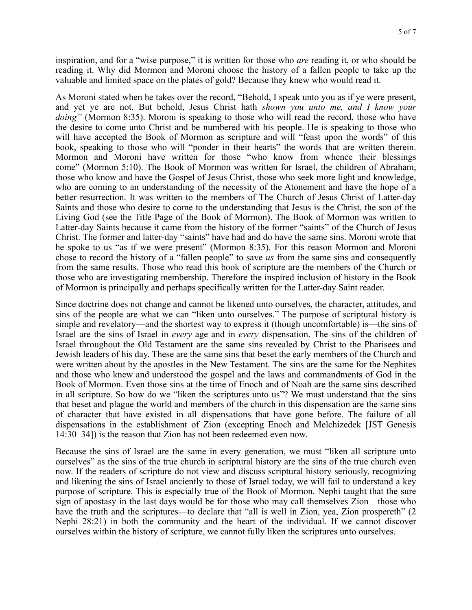inspiration, and for a "wise purpose," it is written for those who *are* reading it, or who should be reading it. Why did Mormon and Moroni choose the history of a fallen people to take up the valuable and limited space on the plates of gold? Because they knew who would read it.

As Moroni stated when he takes over the record, "Behold, I speak unto you as if ye were present, and yet ye are not. But behold, Jesus Christ hath *shown you unto me, and I know your doing"* (Mormon 8:35). Moroni is speaking to those who will read the record, those who have the desire to come unto Christ and be numbered with his people. He is speaking to those who will have accepted the Book of Mormon as scripture and will "feast upon the words" of this book, speaking to those who will "ponder in their hearts" the words that are written therein. Mormon and Moroni have written for those "who know from whence their blessings come" (Mormon 5:10). The Book of Mormon was written for Israel, the children of Abraham, those who know and have the Gospel of Jesus Christ, those who seek more light and knowledge, who are coming to an understanding of the necessity of the Atonement and have the hope of a better resurrection. It was written to the members of The Church of Jesus Christ of Latter-day Saints and those who desire to come to the understanding that Jesus is the Christ, the son of the Living God (see the Title Page of the Book of Mormon). The Book of Mormon was written to Latter-day Saints because it came from the history of the former "saints" of the Church of Jesus Christ. The former and latter-day "saints" have had and do have the same sins. Moroni wrote that he spoke to us "as if we were present" (Mormon 8:35). For this reason Mormon and Moroni chose to record the history of a "fallen people" to save *us* from the same sins and consequently from the same results. Those who read this book of scripture are the members of the Church or those who are investigating membership. Therefore the inspired inclusion of history in the Book of Mormon is principally and perhaps specifically written for the Latter-day Saint reader.

Since doctrine does not change and cannot be likened unto ourselves, the character, attitudes, and sins of the people are what we can "liken unto ourselves." The purpose of scriptural history is simple and revelatory—and the shortest way to express it (though uncomfortable) is—the sins of Israel are the sins of Israel in *every* age and in *every* dispensation. The sins of the children of Israel throughout the Old Testament are the same sins revealed by Christ to the Pharisees and Jewish leaders of his day. These are the same sins that beset the early members of the Church and were written about by the apostles in the New Testament. The sins are the same for the Nephites and those who knew and understood the gospel and the laws and commandments of God in the Book of Mormon. Even those sins at the time of Enoch and of Noah are the same sins described in all scripture. So how do we "liken the scriptures unto us"? We must understand that the sins that beset and plague the world and members of the church in this dispensation are the same sins of character that have existed in all dispensations that have gone before. The failure of all dispensations in the establishment of Zion (excepting Enoch and Melchizedek [JST Genesis 14:30–34]) is the reason that Zion has not been redeemed even now.

Because the sins of Israel are the same in every generation, we must "liken all scripture unto ourselves" as the sins of the true church in scriptural history are the sins of the true church even now. If the readers of scripture do not view and discuss scriptural history seriously, recognizing and likening the sins of Israel anciently to those of Israel today, we will fail to understand a key purpose of scripture. This is especially true of the Book of Mormon. Nephi taught that the sure sign of apostasy in the last days would be for those who may call themselves Zion—those who have the truth and the scriptures—to declare that "all is well in Zion, yea, Zion prospereth" (2) Nephi 28:21) in both the community and the heart of the individual. If we cannot discover ourselves within the history of scripture, we cannot fully liken the scriptures unto ourselves.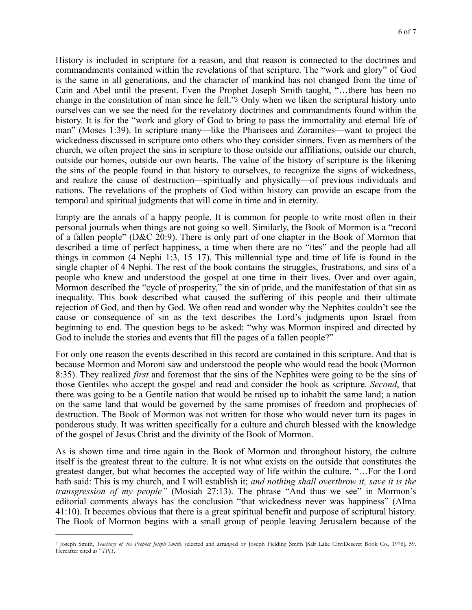<span id="page-5-1"></span>History is included in scripture for a reason, and that reason is connected to the doctrines and commandments contained within the revelations of that scripture. The "work and glory" of God is the same in all generations, and the character of mankind has not changed from the time of Cain and Abel until the present. Even the Prophet Joseph Smith taught, "…there has been no change in the constitution of man since he fell."[3](#page-5-0) Only when we liken the scriptural history unto ourselves can we see the need for the revelatory doctrines and commandments found within the history. It is for the "work and glory of God to bring to pass the immortality and eternal life of man" (Moses 1:39). In scripture many—like the Pharisees and Zoramites—want to project the wickedness discussed in scripture onto others who they consider sinners. Even as members of the church, we often project the sins in scripture to those outside our affiliations, outside our church, outside our homes, outside our own hearts. The value of the history of scripture is the likening the sins of the people found in that history to ourselves, to recognize the signs of wickedness, and realize the cause of destruction—spiritually and physically—of previous individuals and nations. The revelations of the prophets of God within history can provide an escape from the temporal and spiritual judgments that will come in time and in eternity.

Empty are the annals of a happy people. It is common for people to write most often in their personal journals when things are not going so well. Similarly, the Book of Mormon is a "record of a fallen people" (D&C 20:9). There is only part of one chapter in the Book of Mormon that described a time of perfect happiness, a time when there are no "ites" and the people had all things in common (4 Nephi 1:3, 15–17). This millennial type and time of life is found in the single chapter of 4 Nephi. The rest of the book contains the struggles, frustrations, and sins of a people who knew and understood the gospel at one time in their lives. Over and over again, Mormon described the "cycle of prosperity," the sin of pride, and the manifestation of that sin as inequality. This book described what caused the suffering of this people and their ultimate rejection of God, and then by God. We often read and wonder why the Nephites couldn't see the cause or consequence of sin as the text describes the Lord's judgments upon Israel from beginning to end. The question begs to be asked: "why was Mormon inspired and directed by God to include the stories and events that fill the pages of a fallen people?"

For only one reason the events described in this record are contained in this scripture. And that is because Mormon and Moroni saw and understood the people who would read the book (Mormon 8:35). They realized *first* and foremost that the sins of the Nephites were going to be the sins of those Gentiles who accept the gospel and read and consider the book as scripture. *Second*, that there was going to be a Gentile nation that would be raised up to inhabit the same land; a nation on the same land that would be governed by the same promises of freedom and prophecies of destruction. The Book of Mormon was not written for those who would never turn its pages in ponderous study. It was written specifically for a culture and church blessed with the knowledge of the gospel of Jesus Christ and the divinity of the Book of Mormon.

As is shown time and time again in the Book of Mormon and throughout history, the culture itself is the greatest threat to the culture. It is not what exists on the outside that constitutes the greatest danger, but what becomes the accepted way of life within the culture. "…For the Lord hath said: This is my church, and I will establish it; *and nothing shall overthrow it, save it is the transgression of my people"* (Mosiah 27:13). The phrase "And thus we see" in Mormon's editorial comments always has the conclusion "that wickedness never was happiness" (Alma 41:10). It becomes obvious that there is a great spiritual benefit and purpose of scriptural history. The Book of Mormon begins with a small group of people leaving Jerusalem because of the

<span id="page-5-0"></span><sup>&</sup>lt;sup>[3](#page-5-1)</sup> Joseph Smith, *Teachings of the Prophet Joseph Smith,* selected and arranged by Joseph Fielding Smith [Salt Lake City:Deseret Book Co., 1976], 59. Hereafter cited as "*TPJS."*